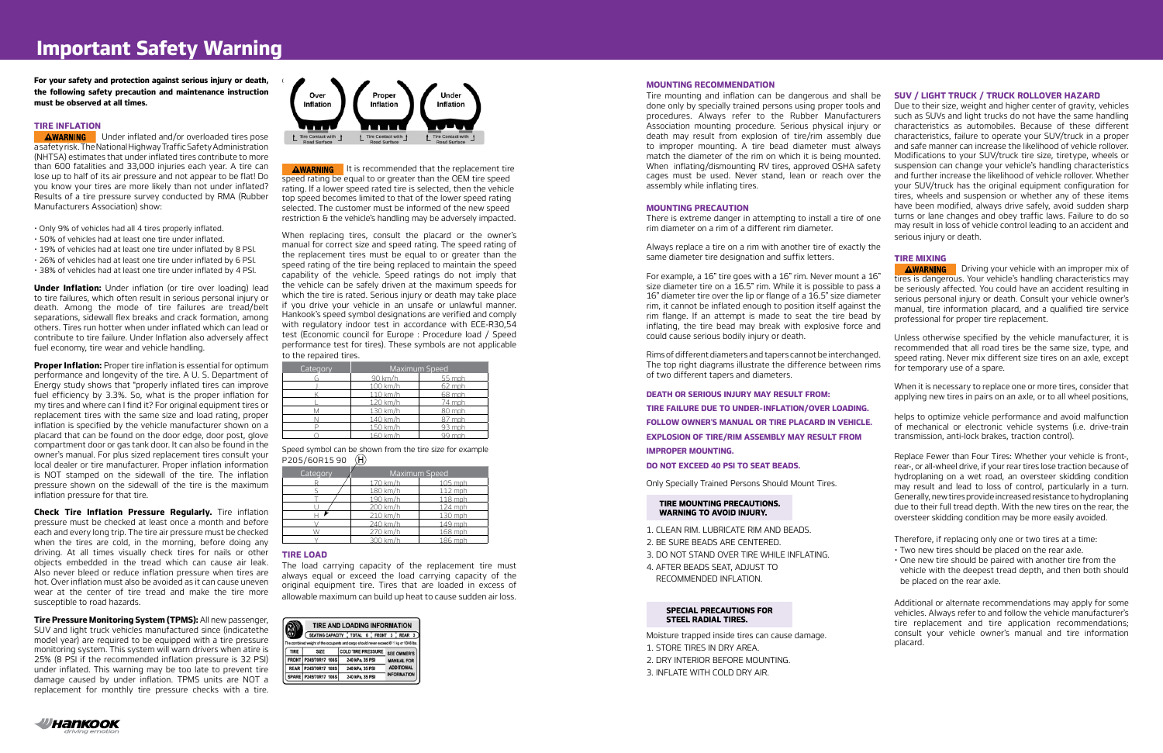# **Important Safety Warning**

**For your safety and protection against serious injury or death, the following safety precaution and maintenance instruction must be observed at all times.**

# **TIRE INFLATION**

**AWARNING** Under inflated and/or overloaded tires pose a safety risk. The National Highway Traffic Safety Administration (NHTSA) estimates that under inflated tires contribute to more than 600 fatalities and 33,000 injuries each year. A tire can lose up to half of its air pressure and not appear to be flat! Do you know your tires are more likely than not under inflated? Results of a tire pressure survey conducted by RMA (Rubber Manufacturers Association) show:

**Under Inflation:** Under inflation (or tire over loading) lead to tire failures, which often result in serious personal injury or death. Among the mode of tire failures are tread/belt separations, sidewall flex breaks and crack formation, among others. Tires run hotter when under inflated which can lead or contribute to tire failure. Under Inflation also adversely affect fuel economy, tire wear and vehicle handling.

- Only 9% of vehicles had all 4 tires properly inflated.
- 50% of vehicles had at least one tire under inflated.
- 19% of vehicles had at least one tire under inflated by 8 PSI.
- 26% of vehicles had at least one tire under inflated by 6 PSI.
- 38% of vehicles had at least one tire under inflated by 4 PSI.

**Proper Inflation:** Proper tire inflation is essential for optimum performance and longevity of the tire. A U. S. Department of Energy study shows that "properly inflated tires can improve fuel efficiency by 3.3%. So, what is the proper inflation for my tires and where can I find it? For original equipment tires or replacement tires with the same size and load rating, proper inflation is specified by the vehicle manufacturer shown on a placard that can be found on the door edge, door post, glove compartment door or gas tank door. It can also be found in the owner's manual. For plus sized replacement tires consult your local dealer or tire manufacturer. Proper inflation information is NOT stamped on the sidewall of the tire. The inflation pressure shown on the sidewall of the tire is the maximum inflation pressure for that tire.

**AWARNING** It is recommended that the replacement tire speed rating be equal to or greater than the OEM tire speed rating. If a lower speed rated tire is selected, then the vehicle top speed becomes limited to that of the lower speed rating selected. The customer must be informed of the new speed restriction & the vehicle's handling may be adversely impacted.

Speed symbol can be shown from the tire size for example P205/60R15 90 (H)

**Check Tire Inflation Pressure Regularly.** Tire inflation pressure must be checked at least once a month and before each and every long trip. The tire air pressure must be checked when the tires are cold, in the morning, before doing any driving. At all times visually check tires for nails or other objects embedded in the tread which can cause air leak. Also never bleed or reduce inflation pressure when tires are hot. Over inflation must also be avoided as it can cause uneven wear at the center of tire tread and make the tire more susceptible to road hazards.

**Tire Pressure Monitoring System (TPMS):** All new passenger, SUV and light truck vehicles manufactured since (indicatethe model year) are required to be equipped with a tire pressure monitoring system. This system will warn drivers when atire is 25% (8 PSI if the recommended inflation pressure is 32 PSI) under inflated. This warning may be too late to prevent tire damage caused by under inflation. TPMS units are NOT a replacement for monthly tire pressure checks with a tire.



When replacing tires, consult the placard or the owner's manual for correct size and speed rating. The speed rating of the replacement tires must be equal to or greater than the speed rating of the tire being replaced to maintain the speed capability of the vehicle. Speed ratings do not imply that the vehicle can be safely driven at the maximum speeds for which the tire is rated. Serious injury or death may take place if you drive your vehicle in an unsafe or unlawful manner. Hankook's speed symbol designations are verified and comply with regulatory indoor test in accordance with ECE-R30,54 test (Economic council for Europe : Procedure load / Speed performance test for tires). These symbols are not applicable to the repaired tires.

| Category | <b>Maximum Speed</b> |        |  |  |  |
|----------|----------------------|--------|--|--|--|
|          | 90 km/h              | 55 mph |  |  |  |
|          | 100 km/h             | 62 mph |  |  |  |
|          | 110 km/h             | 68 mph |  |  |  |
|          | 120 km/h             | 74 mph |  |  |  |
|          | 130 km/h             | 80 mph |  |  |  |
|          | 140 km/h             | 87 mph |  |  |  |
|          | 150 km/h             | 93 mph |  |  |  |
|          | 160 km/h             | 9 mnh  |  |  |  |

| Category | Maximum Speed |         |  |  |  |
|----------|---------------|---------|--|--|--|
|          | 170 km/h      | 105 mph |  |  |  |
|          | 180 km/h      | 112 mph |  |  |  |
|          | 190 km/h      | 118 mph |  |  |  |
|          | 200 km/h      | 124 mph |  |  |  |
|          | 210 km/h      | 130 mph |  |  |  |
|          | 240 km/h      | 149 mph |  |  |  |
|          | 270 km/h      | 168 mph |  |  |  |
|          |               | 186 mnh |  |  |  |

## **TIRE LOAD**

The load carrying capacity of the replacement tire must always equal or exceed the load carrying capacity of the original equipment tire. Tires that are loaded in excess of allowable maximum can build up heat to cause sudden air loss.

| <b>TIRE AND LOADING INFORMATION</b>                                                    |                                         |  |                           |  |                    |  |                    |  |  |
|----------------------------------------------------------------------------------------|-----------------------------------------|--|---------------------------|--|--------------------|--|--------------------|--|--|
|                                                                                        | SEATING CAPACITY TOTAL 6 FRONT 3 REAR 3 |  |                           |  |                    |  |                    |  |  |
| The combined weight of the occupants and cargo should never exceed 611 kg or 1348 lbs. |                                         |  |                           |  |                    |  |                    |  |  |
| <b>TIRE</b>                                                                            | <b>SIZE</b>                             |  | <b>COLD TIRE PRESSURE</b> |  | <b>SEE OWNER'S</b> |  |                    |  |  |
|                                                                                        | FRONT P245/70R17 108S                   |  | 240 kPa, 35 PSI           |  |                    |  | <b>MANUAL FOR</b>  |  |  |
| <b>REAR</b>                                                                            | P245/70R17 108S                         |  | 240 kPa, 35 PSI           |  |                    |  | <b>ADDITIONAL</b>  |  |  |
|                                                                                        | SPARE P245/70R17 108S                   |  | 240 kPa, 35 PSI           |  |                    |  | <b>INFORMATION</b> |  |  |

# **MOUNTING RECOMMENDATION**

Tire mounting and inflation can be dangerous and shall be done only by specially trained persons using proper tools and procedures. Always refer to the Rubber Manufacturers Association mounting procedure. Serious physical injury or death may result from explosion of tire/rim assembly due to improper mounting. A tire bead diameter must always match the diameter of the rim on which it is being mounted. When inflating/dismounting RV tires, approved OSHA safety cages must be used. Never stand, lean or reach over the assembly while inflating tires.

# **MOUNTING PRECAUTION**

There is extreme danger in attempting to install a tire of one rim diameter on a rim of a different rim diameter.

Always replace a tire on a rim with another tire of exactly the same diameter tire designation and suffix letters.

Rims of different diameters and tapers cannot be interchanged. The top right diagrams illustrate the difference between rims of two different tapers and diameters.

**DEATH OR SERIOUS INJURY MAY RESULT FROM:**

**TIRE FAILURE DUE TO UNDER–INFLATION/OVER LOADING. FOLLOW OWNER'S MANUAL OR TIRE PLACARD IN VEHICLE. EXPLOSION OF TIRE/RIM ASSEMBLY MAY RESULT FROM IMPROPER MOUNTING.** 

**DO NOT EXCEED 40 PSI TO SEAT BEADS.**

Only Specially Trained Persons Should Mount Tires.

#### TIRE MOUNTING PRECAUTIONS. **WARNING TO AVOID INJURY.**

- 1. CLEAN RIM. LUBRICATE RIM AND BEADS.
- 2. BE SURE BEADS ARE CENTERED.
- 3. DO NOT STAND OVER TIRE WHILE INFLATING.
- 4. AFTER BEADS SEAT, ADJUST TO RECOMMENDED INFLATION.

### **SPECIAL PRECAUTIONS FOR STEEL RADIAL TIRES.**

Moisture trapped inside tires can cause damage.

- 1. STORE TIRES IN DRY AREA.
- 2. DRY INTERIOR BEFORE MOUNTING.
- 3. INFLATE WITH COLD DRY AIR.



# **SUV / LIGHT TRUCK / TRUCK ROLLOVER HAZARD**

For example, a 16" tire goes with a 16" rim. Never mount a 16" size diameter tire on a 16.5" rim. While it is possible to pass a 16" diameter tire over the lip or flange of a 16.5" size diameter rim, it cannot be inflated enough to position itself against the rim flange. If an attempt is made to seat the tire bead by inflating, the tire bead may break with explosive force and could cause serious bodily injury or death. **AWARNING** Driving your vehicle with an improper mix of tires is dangerous. Your vehicle's handling characteristics may be seriously affected. You could have an accident resulting in serious personal injury or death. Consult your vehicle owner's manual, tire information placard, and a qualified tire service professional for proper tire replacement. Unless otherwise specified by the vehicle manufacturer, it is

Due to their size, weight and higher center of gravity, vehicles such as SUVs and light trucks do not have the same handling characteristics as automobiles. Because of these different characteristics, failure to operate your SUV/truck in a proper and safe manner can increase the likelihood of vehicle rollover. Modifications to your SUV/truck tire size, tiretype, wheels or suspension can change your vehicle's handling characteristics and further increase the likelihood of vehicle rollover. Whether your SUV/truck has the original equipment configuration for tires, wheels and suspension or whether any of these items have been modified, always drive safely, avoid sudden sharp turns or lane changes and obey traffic laws. Failure to do so may result in loss of vehicle control leading to an accident and serious injury or death.

#### **TIRE MIXING**

recommended that all road tires be the same size, type, and speed rating. Never mix different size tires on an axle, except for temporary use of a spare. When it is necessary to replace one or more tires, consider that

applying new tires in pairs on an axle, or to all wheel positions,

helps to optimize vehicle performance and avoid malfunction of mechanical or electronic vehicle systems (i.e. drive-train transmission, anti-lock brakes, traction control).

Replace Fewer than Four Tires: Whether your vehicle is front-, rear-, or all-wheel drive, if your rear tires lose traction because of hydroplaning on a wet road, an oversteer skidding condition may result and lead to loss of control, particularly in a turn. Generally, new tires provide increased resistance to hydroplaning due to their full tread depth. With the new tires on the rear, the oversteer skidding condition may be more easily avoided.

Therefore, if replacing only one or two tires at a time:

- Two new tires should be placed on the rear axle.
- One new tire should be paired with another tire from the vehicle with the deepest tread depth, and then both should be placed on the rear axle.

Additional or alternate recommendations may apply for some vehicles. Always refer to and follow the vehicle manufacturer's tire replacement and tire application recommendations; consult your vehicle owner's manual and tire information placard.